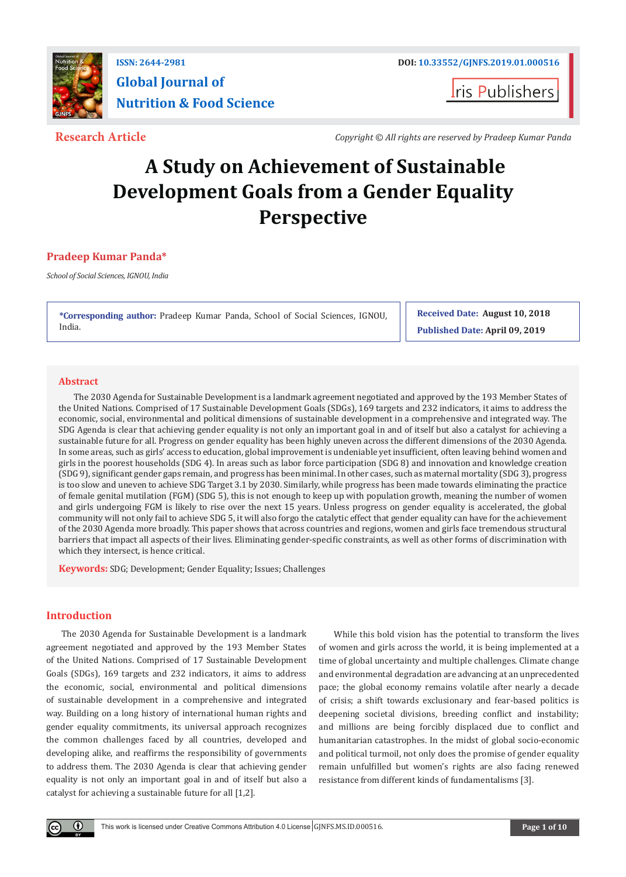

# **ISSN: 2644-2981 DOI: [10.33552/GJNFS.2019.01.000516](http://dx.doi.org/10.33552/GJNFS.2019.01.000516) Global Journal of Nutrition & Food Science**

**I**ris Publishers

**Research Article** *Copyright © All rights are reserved by Pradeep Kumar Panda*

# **A Study on Achievement of Sustainable Development Goals from a Gender Equality Perspective**

### **Pradeep Kumar Panda\***

*School of Social Sciences, IGNOU, India*

**\*Corresponding author:** Pradeep Kumar Panda, School of Social Sciences, IGNOU, India.

**Received Date: August 10, 2018 Published Date: April 09, 2019**

#### **Abstract**

The 2030 Agenda for Sustainable Development is a landmark agreement negotiated and approved by the 193 Member States of the United Nations. Comprised of 17 Sustainable Development Goals (SDGs), 169 targets and 232 indicators, it aims to address the economic, social, environmental and political dimensions of sustainable development in a comprehensive and integrated way. The SDG Agenda is clear that achieving gender equality is not only an important goal in and of itself but also a catalyst for achieving a sustainable future for all. Progress on gender equality has been highly uneven across the different dimensions of the 2030 Agenda. In some areas, such as girls' access to education, global improvement is undeniable yet insufficient, often leaving behind women and girls in the poorest households (SDG 4). In areas such as labor force participation (SDG 8) and innovation and knowledge creation (SDG 9), significant gender gaps remain, and progress has been minimal. In other cases, such as maternal mortality (SDG 3), progress is too slow and uneven to achieve SDG Target 3.1 by 2030. Similarly, while progress has been made towards eliminating the practice of female genital mutilation (FGM) (SDG 5), this is not enough to keep up with population growth, meaning the number of women and girls undergoing FGM is likely to rise over the next 15 years. Unless progress on gender equality is accelerated, the global community will not only fail to achieve SDG 5, it will also forgo the catalytic effect that gender equality can have for the achievement of the 2030 Agenda more broadly. This paper shows that across countries and regions, women and girls face tremendous structural barriers that impact all aspects of their lives. Eliminating gender-specific constraints, as well as other forms of discrimination with which they intersect, is hence critical.

**Keywords:** SDG; Development; Gender Equality; Issues; Challenges

#### **Introduction**

 $\bf \Theta$ 

The 2030 Agenda for Sustainable Development is a landmark agreement negotiated and approved by the 193 Member States of the United Nations. Comprised of 17 Sustainable Development Goals (SDGs), 169 targets and 232 indicators, it aims to address the economic, social, environmental and political dimensions of sustainable development in a comprehensive and integrated way. Building on a long history of international human rights and gender equality commitments, its universal approach recognizes the common challenges faced by all countries, developed and developing alike, and reaffirms the responsibility of governments to address them. The 2030 Agenda is clear that achieving gender equality is not only an important goal in and of itself but also a catalyst for achieving a sustainable future for all [1,2].

While this bold vision has the potential to transform the lives of women and girls across the world, it is being implemented at a time of global uncertainty and multiple challenges. Climate change and environmental degradation are advancing at an unprecedented pace; the global economy remains volatile after nearly a decade of crisis; a shift towards exclusionary and fear-based politics is deepening societal divisions, breeding conflict and instability; and millions are being forcibly displaced due to conflict and humanitarian catastrophes. In the midst of global socio-economic and political turmoil, not only does the promise of gender equality remain unfulfilled but women's rights are also facing renewed resistance from different kinds of fundamentalisms [3].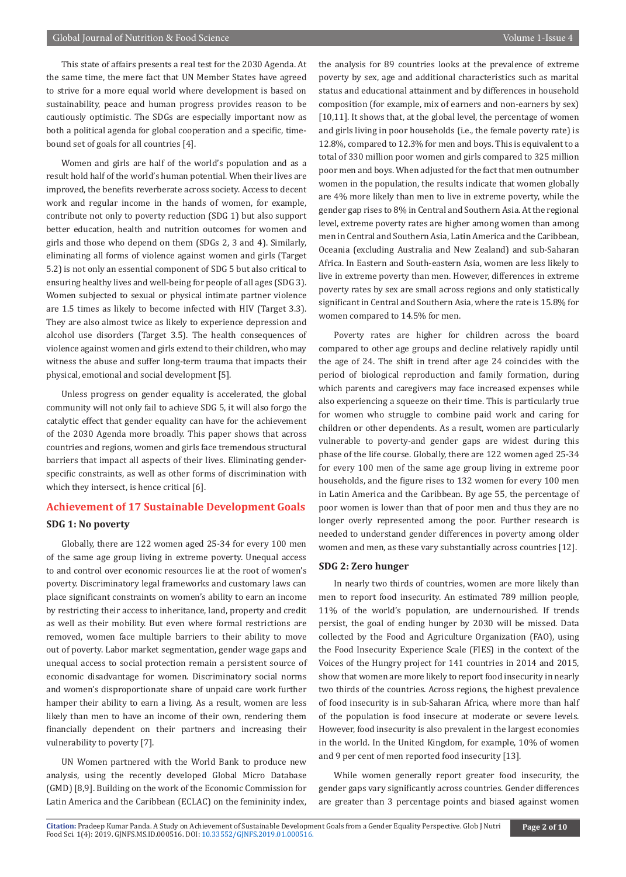This state of affairs presents a real test for the 2030 Agenda. At the same time, the mere fact that UN Member States have agreed to strive for a more equal world where development is based on sustainability, peace and human progress provides reason to be cautiously optimistic. The SDGs are especially important now as both a political agenda for global cooperation and a specific, timebound set of goals for all countries [4].

Women and girls are half of the world's population and as a result hold half of the world's human potential. When their lives are improved, the benefits reverberate across society. Access to decent work and regular income in the hands of women, for example, contribute not only to poverty reduction (SDG 1) but also support better education, health and nutrition outcomes for women and girls and those who depend on them (SDGs 2, 3 and 4). Similarly, eliminating all forms of violence against women and girls (Target 5.2) is not only an essential component of SDG 5 but also critical to ensuring healthy lives and well-being for people of all ages (SDG 3). Women subjected to sexual or physical intimate partner violence are 1.5 times as likely to become infected with HIV (Target 3.3). They are also almost twice as likely to experience depression and alcohol use disorders (Target 3.5). The health consequences of violence against women and girls extend to their children, who may witness the abuse and suffer long-term trauma that impacts their physical, emotional and social development [5].

Unless progress on gender equality is accelerated, the global community will not only fail to achieve SDG 5, it will also forgo the catalytic effect that gender equality can have for the achievement of the 2030 Agenda more broadly. This paper shows that across countries and regions, women and girls face tremendous structural barriers that impact all aspects of their lives. Eliminating genderspecific constraints, as well as other forms of discrimination with which they intersect, is hence critical [6].

## **Achievement of 17 Sustainable Development Goals**

#### **SDG 1: No poverty**

Globally, there are 122 women aged 25-34 for every 100 men of the same age group living in extreme poverty. Unequal access to and control over economic resources lie at the root of women's poverty. Discriminatory legal frameworks and customary laws can place significant constraints on women's ability to earn an income by restricting their access to inheritance, land, property and credit as well as their mobility. But even where formal restrictions are removed, women face multiple barriers to their ability to move out of poverty. Labor market segmentation, gender wage gaps and unequal access to social protection remain a persistent source of economic disadvantage for women. Discriminatory social norms and women's disproportionate share of unpaid care work further hamper their ability to earn a living. As a result, women are less likely than men to have an income of their own, rendering them financially dependent on their partners and increasing their vulnerability to poverty [7].

UN Women partnered with the World Bank to produce new analysis, using the recently developed Global Micro Database (GMD) [8,9]. Building on the work of the Economic Commission for Latin America and the Caribbean (ECLAC) on the femininity index,

the analysis for 89 countries looks at the prevalence of extreme poverty by sex, age and additional characteristics such as marital status and educational attainment and by differences in household composition (for example, mix of earners and non-earners by sex) [10,11]. It shows that, at the global level, the percentage of women and girls living in poor households (i.e., the female poverty rate) is 12.8%, compared to 12.3% for men and boys. This is equivalent to a total of 330 million poor women and girls compared to 325 million poor men and boys. When adjusted for the fact that men outnumber women in the population, the results indicate that women globally are 4% more likely than men to live in extreme poverty, while the gender gap rises to 8% in Central and Southern Asia. At the regional level, extreme poverty rates are higher among women than among men in Central and Southern Asia, Latin America and the Caribbean, Oceania (excluding Australia and New Zealand) and sub-Saharan Africa. In Eastern and South-eastern Asia, women are less likely to live in extreme poverty than men. However, differences in extreme poverty rates by sex are small across regions and only statistically significant in Central and Southern Asia, where the rate is 15.8% for women compared to 14.5% for men.

Poverty rates are higher for children across the board compared to other age groups and decline relatively rapidly until the age of 24. The shift in trend after age 24 coincides with the period of biological reproduction and family formation, during which parents and caregivers may face increased expenses while also experiencing a squeeze on their time. This is particularly true for women who struggle to combine paid work and caring for children or other dependents. As a result, women are particularly vulnerable to poverty-and gender gaps are widest during this phase of the life course. Globally, there are 122 women aged 25-34 for every 100 men of the same age group living in extreme poor households, and the figure rises to 132 women for every 100 men in Latin America and the Caribbean. By age 55, the percentage of poor women is lower than that of poor men and thus they are no longer overly represented among the poor. Further research is needed to understand gender differences in poverty among older women and men, as these vary substantially across countries [12].

#### **SDG 2: Zero hunger**

In nearly two thirds of countries, women are more likely than men to report food insecurity. An estimated 789 million people, 11% of the world's population, are undernourished. If trends persist, the goal of ending hunger by 2030 will be missed. Data collected by the Food and Agriculture Organization (FAO), using the Food Insecurity Experience Scale (FIES) in the context of the Voices of the Hungry project for 141 countries in 2014 and 2015, show that women are more likely to report food insecurity in nearly two thirds of the countries. Across regions, the highest prevalence of food insecurity is in sub-Saharan Africa, where more than half of the population is food insecure at moderate or severe levels. However, food insecurity is also prevalent in the largest economies in the world. In the United Kingdom, for example, 10% of women and 9 per cent of men reported food insecurity [13].

While women generally report greater food insecurity, the gender gaps vary significantly across countries. Gender differences are greater than 3 percentage points and biased against women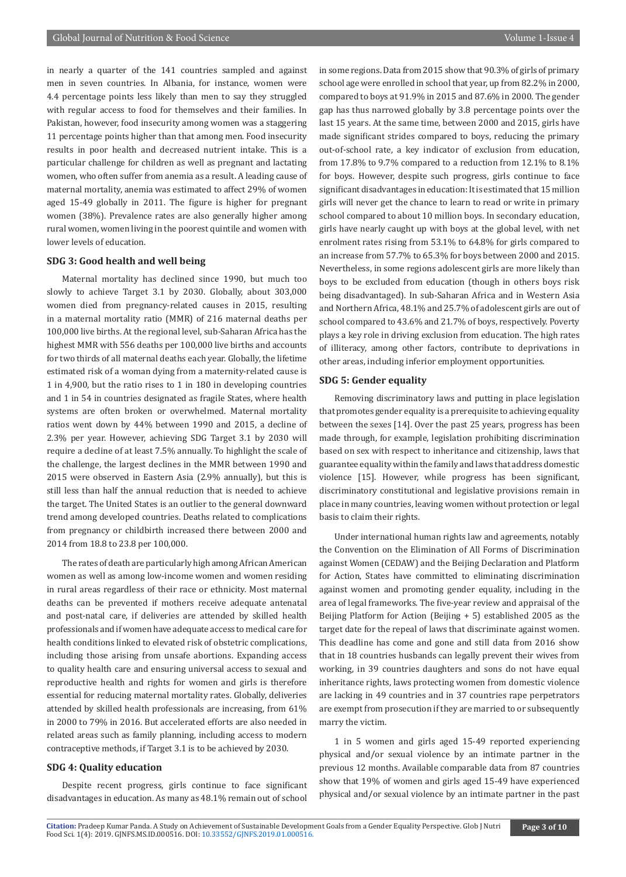in nearly a quarter of the 141 countries sampled and against men in seven countries. In Albania, for instance, women were 4.4 percentage points less likely than men to say they struggled with regular access to food for themselves and their families. In Pakistan, however, food insecurity among women was a staggering 11 percentage points higher than that among men. Food insecurity results in poor health and decreased nutrient intake. This is a particular challenge for children as well as pregnant and lactating women, who often suffer from anemia as a result. A leading cause of maternal mortality, anemia was estimated to affect 29% of women aged 15-49 globally in 2011. The figure is higher for pregnant women (38%). Prevalence rates are also generally higher among rural women, women living in the poorest quintile and women with lower levels of education.

#### **SDG 3: Good health and well being**

Maternal mortality has declined since 1990, but much too slowly to achieve Target 3.1 by 2030. Globally, about 303,000 women died from pregnancy-related causes in 2015, resulting in a maternal mortality ratio (MMR) of 216 maternal deaths per 100,000 live births. At the regional level, sub-Saharan Africa has the highest MMR with 556 deaths per 100,000 live births and accounts for two thirds of all maternal deaths each year. Globally, the lifetime estimated risk of a woman dying from a maternity-related cause is 1 in 4,900, but the ratio rises to 1 in 180 in developing countries and 1 in 54 in countries designated as fragile States, where health systems are often broken or overwhelmed. Maternal mortality ratios went down by 44% between 1990 and 2015, a decline of 2.3% per year. However, achieving SDG Target 3.1 by 2030 will require a decline of at least 7.5% annually. To highlight the scale of the challenge, the largest declines in the MMR between 1990 and 2015 were observed in Eastern Asia (2.9% annually), but this is still less than half the annual reduction that is needed to achieve the target. The United States is an outlier to the general downward trend among developed countries. Deaths related to complications from pregnancy or childbirth increased there between 2000 and 2014 from 18.8 to 23.8 per 100,000.

The rates of death are particularly high among African American women as well as among low-income women and women residing in rural areas regardless of their race or ethnicity. Most maternal deaths can be prevented if mothers receive adequate antenatal and post-natal care, if deliveries are attended by skilled health professionals and if women have adequate access to medical care for health conditions linked to elevated risk of obstetric complications, including those arising from unsafe abortions. Expanding access to quality health care and ensuring universal access to sexual and reproductive health and rights for women and girls is therefore essential for reducing maternal mortality rates. Globally, deliveries attended by skilled health professionals are increasing, from 61% in 2000 to 79% in 2016. But accelerated efforts are also needed in related areas such as family planning, including access to modern contraceptive methods, if Target 3.1 is to be achieved by 2030.

#### **SDG 4: Quality education**

Despite recent progress, girls continue to face significant disadvantages in education. As many as 48.1% remain out of school in some regions. Data from 2015 show that 90.3% of girls of primary school age were enrolled in school that year, up from 82.2% in 2000, compared to boys at 91.9% in 2015 and 87.6% in 2000. The gender gap has thus narrowed globally by 3.8 percentage points over the last 15 years. At the same time, between 2000 and 2015, girls have made significant strides compared to boys, reducing the primary out-of-school rate, a key indicator of exclusion from education, from 17.8% to 9.7% compared to a reduction from 12.1% to 8.1% for boys. However, despite such progress, girls continue to face significant disadvantages in education: It is estimated that 15 million girls will never get the chance to learn to read or write in primary school compared to about 10 million boys. In secondary education, girls have nearly caught up with boys at the global level, with net enrolment rates rising from 53.1% to 64.8% for girls compared to an increase from 57.7% to 65.3% for boys between 2000 and 2015. Nevertheless, in some regions adolescent girls are more likely than boys to be excluded from education (though in others boys risk being disadvantaged). In sub-Saharan Africa and in Western Asia and Northern Africa, 48.1% and 25.7% of adolescent girls are out of school compared to 43.6% and 21.7% of boys, respectively. Poverty plays a key role in driving exclusion from education. The high rates of illiteracy, among other factors, contribute to deprivations in other areas, including inferior employment opportunities.

#### **SDG 5: Gender equality**

Removing discriminatory laws and putting in place legislation that promotes gender equality is a prerequisite to achieving equality between the sexes [14]. Over the past 25 years, progress has been made through, for example, legislation prohibiting discrimination based on sex with respect to inheritance and citizenship, laws that guarantee equality within the family and laws that address domestic violence [15]. However, while progress has been significant, discriminatory constitutional and legislative provisions remain in place in many countries, leaving women without protection or legal basis to claim their rights.

Under international human rights law and agreements, notably the Convention on the Elimination of All Forms of Discrimination against Women (CEDAW) and the Beijing Declaration and Platform for Action, States have committed to eliminating discrimination against women and promoting gender equality, including in the area of legal frameworks. The five-year review and appraisal of the Beijing Platform for Action (Beijing + 5) established 2005 as the target date for the repeal of laws that discriminate against women. This deadline has come and gone and still data from 2016 show that in 18 countries husbands can legally prevent their wives from working, in 39 countries daughters and sons do not have equal inheritance rights, laws protecting women from domestic violence are lacking in 49 countries and in 37 countries rape perpetrators are exempt from prosecution if they are married to or subsequently marry the victim.

1 in 5 women and girls aged 15-49 reported experiencing physical and/or sexual violence by an intimate partner in the previous 12 months. Available comparable data from 87 countries show that 19% of women and girls aged 15-49 have experienced physical and/or sexual violence by an intimate partner in the past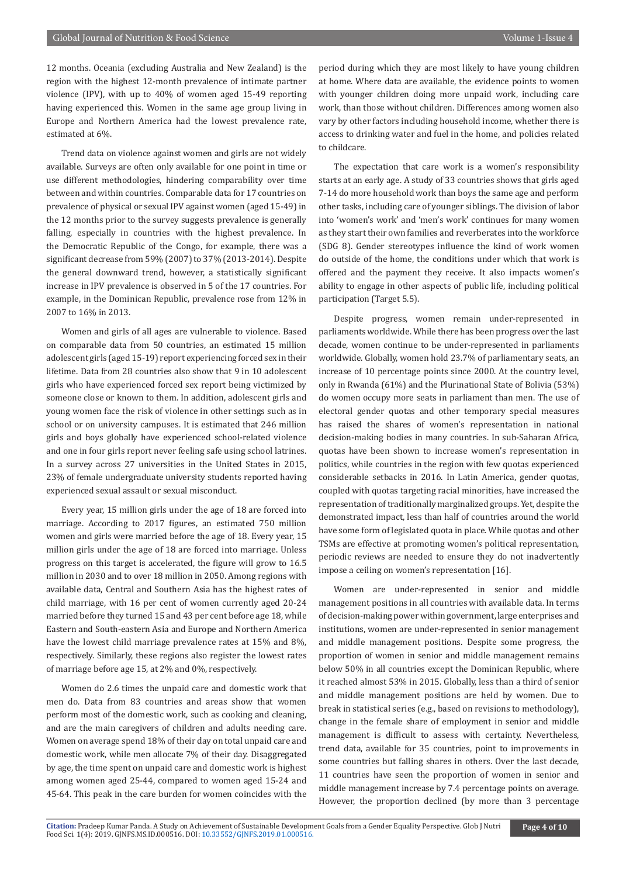12 months. Oceania (excluding Australia and New Zealand) is the region with the highest 12-month prevalence of intimate partner violence (IPV), with up to 40% of women aged 15-49 reporting having experienced this. Women in the same age group living in Europe and Northern America had the lowest prevalence rate, estimated at 6%.

Trend data on violence against women and girls are not widely available. Surveys are often only available for one point in time or use different methodologies, hindering comparability over time between and within countries. Comparable data for 17 countries on prevalence of physical or sexual IPV against women (aged 15-49) in the 12 months prior to the survey suggests prevalence is generally falling, especially in countries with the highest prevalence. In the Democratic Republic of the Congo, for example, there was a significant decrease from 59% (2007) to 37% (2013-2014). Despite the general downward trend, however, a statistically significant increase in IPV prevalence is observed in 5 of the 17 countries. For example, in the Dominican Republic, prevalence rose from 12% in 2007 to 16% in 2013.

Women and girls of all ages are vulnerable to violence. Based on comparable data from 50 countries, an estimated 15 million adolescent girls (aged 15-19) report experiencing forced sex in their lifetime. Data from 28 countries also show that 9 in 10 adolescent girls who have experienced forced sex report being victimized by someone close or known to them. In addition, adolescent girls and young women face the risk of violence in other settings such as in school or on university campuses. It is estimated that 246 million girls and boys globally have experienced school-related violence and one in four girls report never feeling safe using school latrines. In a survey across 27 universities in the United States in 2015, 23% of female undergraduate university students reported having experienced sexual assault or sexual misconduct.

Every year, 15 million girls under the age of 18 are forced into marriage. According to 2017 figures, an estimated 750 million women and girls were married before the age of 18. Every year, 15 million girls under the age of 18 are forced into marriage. Unless progress on this target is accelerated, the figure will grow to 16.5 million in 2030 and to over 18 million in 2050. Among regions with available data, Central and Southern Asia has the highest rates of child marriage, with 16 per cent of women currently aged 20-24 married before they turned 15 and 43 per cent before age 18, while Eastern and South-eastern Asia and Europe and Northern America have the lowest child marriage prevalence rates at 15% and 8%, respectively. Similarly, these regions also register the lowest rates of marriage before age 15, at 2% and 0%, respectively.

Women do 2.6 times the unpaid care and domestic work that men do. Data from 83 countries and areas show that women perform most of the domestic work, such as cooking and cleaning, and are the main caregivers of children and adults needing care. Women on average spend 18% of their day on total unpaid care and domestic work, while men allocate 7% of their day. Disaggregated by age, the time spent on unpaid care and domestic work is highest among women aged 25-44, compared to women aged 15-24 and 45-64. This peak in the care burden for women coincides with the

period during which they are most likely to have young children at home. Where data are available, the evidence points to women with younger children doing more unpaid work, including care work, than those without children. Differences among women also vary by other factors including household income, whether there is access to drinking water and fuel in the home, and policies related to childcare.

The expectation that care work is a women's responsibility starts at an early age. A study of 33 countries shows that girls aged 7-14 do more household work than boys the same age and perform other tasks, including care of younger siblings. The division of labor into 'women's work' and 'men's work' continues for many women as they start their own families and reverberates into the workforce (SDG 8). Gender stereotypes influence the kind of work women do outside of the home, the conditions under which that work is offered and the payment they receive. It also impacts women's ability to engage in other aspects of public life, including political participation (Target 5.5).

Despite progress, women remain under-represented in parliaments worldwide. While there has been progress over the last decade, women continue to be under-represented in parliaments worldwide. Globally, women hold 23.7% of parliamentary seats, an increase of 10 percentage points since 2000. At the country level, only in Rwanda (61%) and the Plurinational State of Bolivia (53%) do women occupy more seats in parliament than men. The use of electoral gender quotas and other temporary special measures has raised the shares of women's representation in national decision-making bodies in many countries. In sub-Saharan Africa, quotas have been shown to increase women's representation in politics, while countries in the region with few quotas experienced considerable setbacks in 2016. In Latin America, gender quotas, coupled with quotas targeting racial minorities, have increased the representation of traditionally marginalized groups. Yet, despite the demonstrated impact, less than half of countries around the world have some form of legislated quota in place. While quotas and other TSMs are effective at promoting women's political representation, periodic reviews are needed to ensure they do not inadvertently impose a ceiling on women's representation [16].

Women are under-represented in senior and middle management positions in all countries with available data. In terms of decision-making power within government, large enterprises and institutions, women are under-represented in senior management and middle management positions. Despite some progress, the proportion of women in senior and middle management remains below 50% in all countries except the Dominican Republic, where it reached almost 53% in 2015. Globally, less than a third of senior and middle management positions are held by women. Due to break in statistical series (e.g., based on revisions to methodology), change in the female share of employment in senior and middle management is difficult to assess with certainty. Nevertheless, trend data, available for 35 countries, point to improvements in some countries but falling shares in others. Over the last decade, 11 countries have seen the proportion of women in senior and middle management increase by 7.4 percentage points on average. However, the proportion declined (by more than 3 percentage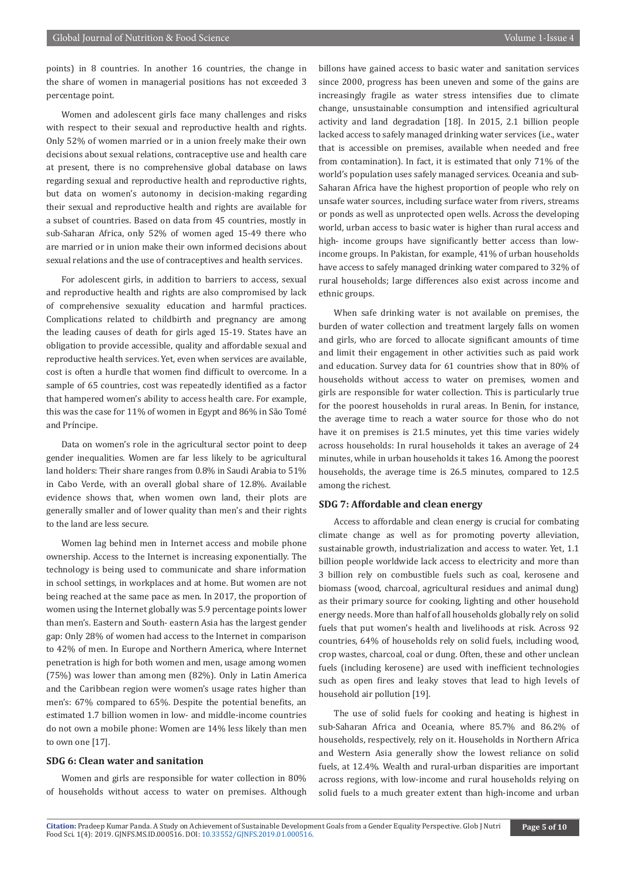points) in 8 countries. In another 16 countries, the change in the share of women in managerial positions has not exceeded 3 percentage point.

Women and adolescent girls face many challenges and risks with respect to their sexual and reproductive health and rights. Only 52% of women married or in a union freely make their own decisions about sexual relations, contraceptive use and health care at present, there is no comprehensive global database on laws regarding sexual and reproductive health and reproductive rights, but data on women's autonomy in decision-making regarding their sexual and reproductive health and rights are available for a subset of countries. Based on data from 45 countries, mostly in sub-Saharan Africa, only 52% of women aged 15-49 there who are married or in union make their own informed decisions about sexual relations and the use of contraceptives and health services.

For adolescent girls, in addition to barriers to access, sexual and reproductive health and rights are also compromised by lack of comprehensive sexuality education and harmful practices. Complications related to childbirth and pregnancy are among the leading causes of death for girls aged 15-19. States have an obligation to provide accessible, quality and affordable sexual and reproductive health services. Yet, even when services are available, cost is often a hurdle that women find difficult to overcome. In a sample of 65 countries, cost was repeatedly identified as a factor that hampered women's ability to access health care. For example, this was the case for 11% of women in Egypt and 86% in São Tomé and Príncipe.

Data on women's role in the agricultural sector point to deep gender inequalities. Women are far less likely to be agricultural land holders: Their share ranges from 0.8% in Saudi Arabia to 51% in Cabo Verde, with an overall global share of 12.8%. Available evidence shows that, when women own land, their plots are generally smaller and of lower quality than men's and their rights to the land are less secure.

Women lag behind men in Internet access and mobile phone ownership. Access to the Internet is increasing exponentially. The technology is being used to communicate and share information in school settings, in workplaces and at home. But women are not being reached at the same pace as men. In 2017, the proportion of women using the Internet globally was 5.9 percentage points lower than men's. Eastern and South- eastern Asia has the largest gender gap: Only 28% of women had access to the Internet in comparison to 42% of men. In Europe and Northern America, where Internet penetration is high for both women and men, usage among women (75%) was lower than among men (82%). Only in Latin America and the Caribbean region were women's usage rates higher than men's: 67% compared to 65%. Despite the potential benefits, an estimated 1.7 billion women in low- and middle-income countries do not own a mobile phone: Women are 14% less likely than men to own one [17].

#### **SDG 6: Clean water and sanitation**

Women and girls are responsible for water collection in 80% of households without access to water on premises. Although billons have gained access to basic water and sanitation services since 2000, progress has been uneven and some of the gains are increasingly fragile as water stress intensifies due to climate change, unsustainable consumption and intensified agricultural activity and land degradation [18]. In 2015, 2.1 billion people lacked access to safely managed drinking water services (i.e., water that is accessible on premises, available when needed and free from contamination). In fact, it is estimated that only 71% of the world's population uses safely managed services. Oceania and sub-Saharan Africa have the highest proportion of people who rely on unsafe water sources, including surface water from rivers, streams or ponds as well as unprotected open wells. Across the developing world, urban access to basic water is higher than rural access and high- income groups have significantly better access than lowincome groups. In Pakistan, for example, 41% of urban households have access to safely managed drinking water compared to 32% of rural households; large differences also exist across income and ethnic groups.

When safe drinking water is not available on premises, the burden of water collection and treatment largely falls on women and girls, who are forced to allocate significant amounts of time and limit their engagement in other activities such as paid work and education. Survey data for 61 countries show that in 80% of households without access to water on premises, women and girls are responsible for water collection. This is particularly true for the poorest households in rural areas. In Benin, for instance, the average time to reach a water source for those who do not have it on premises is 21.5 minutes, yet this time varies widely across households: In rural households it takes an average of 24 minutes, while in urban households it takes 16. Among the poorest households, the average time is 26.5 minutes, compared to 12.5 among the richest.

#### **SDG 7: Affordable and clean energy**

Access to affordable and clean energy is crucial for combating climate change as well as for promoting poverty alleviation, sustainable growth, industrialization and access to water. Yet, 1.1 billion people worldwide lack access to electricity and more than 3 billion rely on combustible fuels such as coal, kerosene and biomass (wood, charcoal, agricultural residues and animal dung) as their primary source for cooking, lighting and other household energy needs. More than half of all households globally rely on solid fuels that put women's health and livelihoods at risk. Across 92 countries, 64% of households rely on solid fuels, including wood, crop wastes, charcoal, coal or dung. Often, these and other unclean fuels (including kerosene) are used with inefficient technologies such as open fires and leaky stoves that lead to high levels of household air pollution [19].

The use of solid fuels for cooking and heating is highest in sub-Saharan Africa and Oceania, where 85.7% and 86.2% of households, respectively, rely on it. Households in Northern Africa and Western Asia generally show the lowest reliance on solid fuels, at 12.4%. Wealth and rural-urban disparities are important across regions, with low-income and rural households relying on solid fuels to a much greater extent than high-income and urban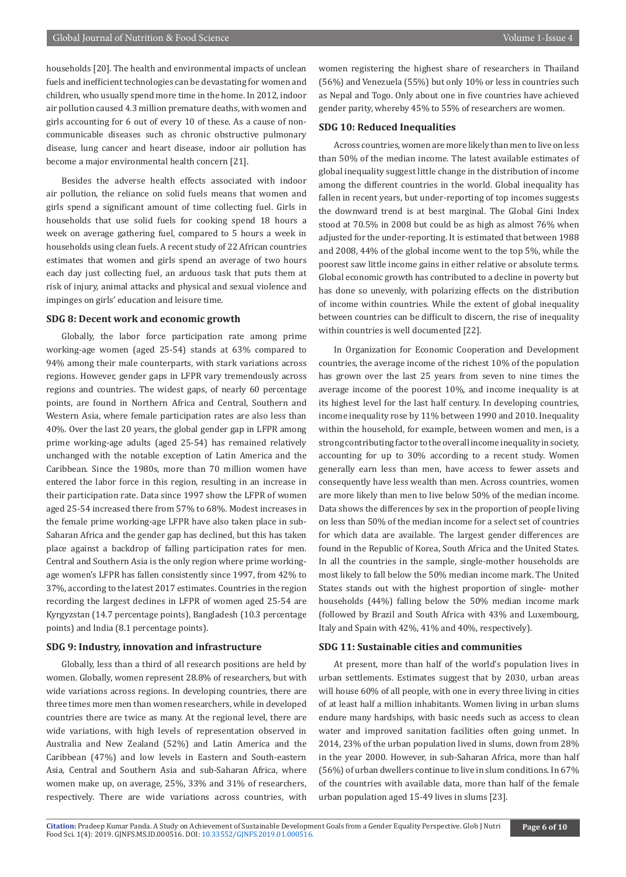households [20]. The health and environmental impacts of unclean fuels and inefficient technologies can be devastating for women and children, who usually spend more time in the home. In 2012, indoor air pollution caused 4.3 million premature deaths, with women and girls accounting for 6 out of every 10 of these. As a cause of noncommunicable diseases such as chronic obstructive pulmonary disease, lung cancer and heart disease, indoor air pollution has become a major environmental health concern [21].

Besides the adverse health effects associated with indoor air pollution, the reliance on solid fuels means that women and girls spend a significant amount of time collecting fuel. Girls in households that use solid fuels for cooking spend 18 hours a week on average gathering fuel, compared to 5 hours a week in households using clean fuels. A recent study of 22 African countries estimates that women and girls spend an average of two hours each day just collecting fuel, an arduous task that puts them at risk of injury, animal attacks and physical and sexual violence and impinges on girls' education and leisure time.

#### **SDG 8: Decent work and economic growth**

Globally, the labor force participation rate among prime working-age women (aged 25-54) stands at 63% compared to 94% among their male counterparts, with stark variations across regions. However, gender gaps in LFPR vary tremendously across regions and countries. The widest gaps, of nearly 60 percentage points, are found in Northern Africa and Central, Southern and Western Asia, where female participation rates are also less than 40%. Over the last 20 years, the global gender gap in LFPR among prime working-age adults (aged 25-54) has remained relatively unchanged with the notable exception of Latin America and the Caribbean. Since the 1980s, more than 70 million women have entered the labor force in this region, resulting in an increase in their participation rate. Data since 1997 show the LFPR of women aged 25-54 increased there from 57% to 68%. Modest increases in the female prime working-age LFPR have also taken place in sub-Saharan Africa and the gender gap has declined, but this has taken place against a backdrop of falling participation rates for men. Central and Southern Asia is the only region where prime workingage women's LFPR has fallen consistently since 1997, from 42% to 37%, according to the latest 2017 estimates. Countries in the region recording the largest declines in LFPR of women aged 25-54 are Kyrgyzstan (14.7 percentage points), Bangladesh (10.3 percentage points) and India (8.1 percentage points).

#### **SDG 9: Industry, innovation and infrastructure**

Globally, less than a third of all research positions are held by women. Globally, women represent 28.8% of researchers, but with wide variations across regions. In developing countries, there are three times more men than women researchers, while in developed countries there are twice as many. At the regional level, there are wide variations, with high levels of representation observed in Australia and New Zealand (52%) and Latin America and the Caribbean (47%) and low levels in Eastern and South-eastern Asia, Central and Southern Asia and sub-Saharan Africa, where women make up, on average, 25%, 33% and 31% of researchers, respectively. There are wide variations across countries, with

women registering the highest share of researchers in Thailand (56%) and Venezuela (55%) but only 10% or less in countries such as Nepal and Togo. Only about one in five countries have achieved gender parity, whereby 45% to 55% of researchers are women.

#### **SDG 10: Reduced Inequalities**

Across countries, women are more likely than men to live on less than 50% of the median income. The latest available estimates of global inequality suggest little change in the distribution of income among the different countries in the world. Global inequality has fallen in recent years, but under-reporting of top incomes suggests the downward trend is at best marginal. The Global Gini Index stood at 70.5% in 2008 but could be as high as almost 76% when adjusted for the under-reporting. It is estimated that between 1988 and 2008, 44% of the global income went to the top 5%, while the poorest saw little income gains in either relative or absolute terms. Global economic growth has contributed to a decline in poverty but has done so unevenly, with polarizing effects on the distribution of income within countries. While the extent of global inequality between countries can be difficult to discern, the rise of inequality within countries is well documented [22].

In Organization for Economic Cooperation and Development countries, the average income of the richest 10% of the population has grown over the last 25 years from seven to nine times the average income of the poorest 10%, and income inequality is at its highest level for the last half century. In developing countries, income inequality rose by 11% between 1990 and 2010. Inequality within the household, for example, between women and men, is a strong contributing factor to the overall income inequality in society, accounting for up to 30% according to a recent study. Women generally earn less than men, have access to fewer assets and consequently have less wealth than men. Across countries, women are more likely than men to live below 50% of the median income. Data shows the differences by sex in the proportion of people living on less than 50% of the median income for a select set of countries for which data are available. The largest gender differences are found in the Republic of Korea, South Africa and the United States. In all the countries in the sample, single-mother households are most likely to fall below the 50% median income mark. The United States stands out with the highest proportion of single- mother households (44%) falling below the 50% median income mark (followed by Brazil and South Africa with 43% and Luxembourg, Italy and Spain with 42%, 41% and 40%, respectively).

#### **SDG 11: Sustainable cities and communities**

At present, more than half of the world's population lives in urban settlements. Estimates suggest that by 2030, urban areas will house 60% of all people, with one in every three living in cities of at least half a million inhabitants. Women living in urban slums endure many hardships, with basic needs such as access to clean water and improved sanitation facilities often going unmet. In 2014, 23% of the urban population lived in slums, down from 28% in the year 2000. However, in sub-Saharan Africa, more than half (56%) of urban dwellers continue to live in slum conditions. In 67% of the countries with available data, more than half of the female urban population aged 15-49 lives in slums [23].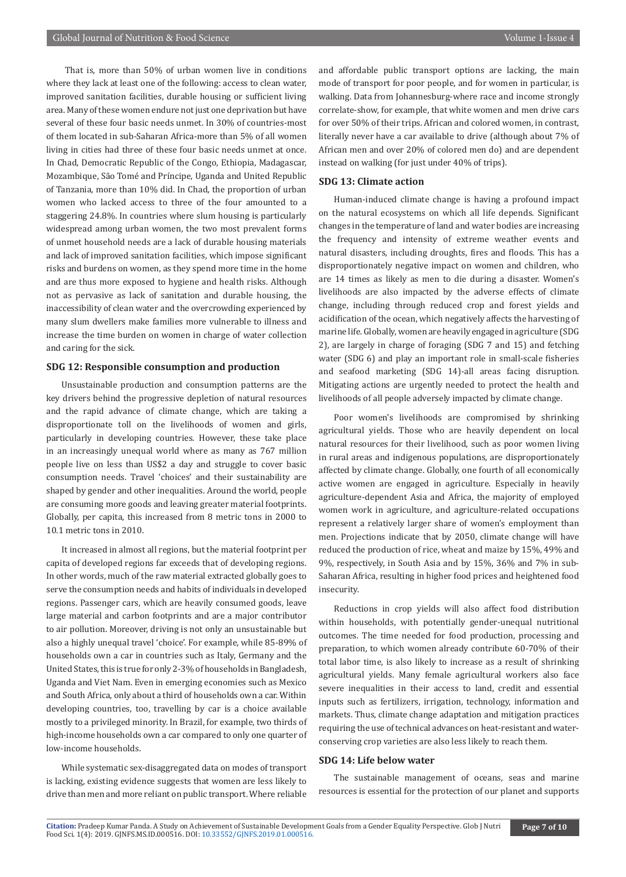That is, more than 50% of urban women live in conditions where they lack at least one of the following: access to clean water, improved sanitation facilities, durable housing or sufficient living area. Many of these women endure not just one deprivation but have several of these four basic needs unmet. In 30% of countries-most of them located in sub-Saharan Africa-more than 5% of all women living in cities had three of these four basic needs unmet at once. In Chad, Democratic Republic of the Congo, Ethiopia, Madagascar, Mozambique, São Tomé and Príncipe, Uganda and United Republic of Tanzania, more than 10% did. In Chad, the proportion of urban women who lacked access to three of the four amounted to a staggering 24.8%. In countries where slum housing is particularly widespread among urban women, the two most prevalent forms of unmet household needs are a lack of durable housing materials and lack of improved sanitation facilities, which impose significant risks and burdens on women, as they spend more time in the home and are thus more exposed to hygiene and health risks. Although not as pervasive as lack of sanitation and durable housing, the inaccessibility of clean water and the overcrowding experienced by many slum dwellers make families more vulnerable to illness and increase the time burden on women in charge of water collection and caring for the sick.

#### **SDG 12: Responsible consumption and production**

Unsustainable production and consumption patterns are the key drivers behind the progressive depletion of natural resources and the rapid advance of climate change, which are taking a disproportionate toll on the livelihoods of women and girls, particularly in developing countries. However, these take place in an increasingly unequal world where as many as 767 million people live on less than US\$2 a day and struggle to cover basic consumption needs. Travel 'choices' and their sustainability are shaped by gender and other inequalities. Around the world, people are consuming more goods and leaving greater material footprints. Globally, per capita, this increased from 8 metric tons in 2000 to 10.1 metric tons in 2010.

It increased in almost all regions, but the material footprint per capita of developed regions far exceeds that of developing regions. In other words, much of the raw material extracted globally goes to serve the consumption needs and habits of individuals in developed regions. Passenger cars, which are heavily consumed goods, leave large material and carbon footprints and are a major contributor to air pollution. Moreover, driving is not only an unsustainable but also a highly unequal travel 'choice'. For example, while 85-89% of households own a car in countries such as Italy, Germany and the United States, this is true for only 2-3% of households in Bangladesh, Uganda and Viet Nam. Even in emerging economies such as Mexico and South Africa, only about a third of households own a car. Within developing countries, too, travelling by car is a choice available mostly to a privileged minority. In Brazil, for example, two thirds of high-income households own a car compared to only one quarter of low-income households.

While systematic sex-disaggregated data on modes of transport is lacking, existing evidence suggests that women are less likely to drive than men and more reliant on public transport. Where reliable

and affordable public transport options are lacking, the main mode of transport for poor people, and for women in particular, is walking. Data from Johannesburg-where race and income strongly correlate-show, for example, that white women and men drive cars for over 50% of their trips. African and colored women, in contrast, literally never have a car available to drive (although about 7% of African men and over 20% of colored men do) and are dependent instead on walking (for just under 40% of trips).

#### **SDG 13: Climate action**

Human-induced climate change is having a profound impact on the natural ecosystems on which all life depends. Significant changes in the temperature of land and water bodies are increasing the frequency and intensity of extreme weather events and natural disasters, including droughts, fires and floods. This has a disproportionately negative impact on women and children, who are 14 times as likely as men to die during a disaster. Women's livelihoods are also impacted by the adverse effects of climate change, including through reduced crop and forest yields and acidification of the ocean, which negatively affects the harvesting of marine life. Globally, women are heavily engaged in agriculture (SDG 2), are largely in charge of foraging (SDG 7 and 15) and fetching water (SDG 6) and play an important role in small-scale fisheries and seafood marketing (SDG 14)-all areas facing disruption. Mitigating actions are urgently needed to protect the health and livelihoods of all people adversely impacted by climate change.

Poor women's livelihoods are compromised by shrinking agricultural yields. Those who are heavily dependent on local natural resources for their livelihood, such as poor women living in rural areas and indigenous populations, are disproportionately affected by climate change. Globally, one fourth of all economically active women are engaged in agriculture. Especially in heavily agriculture-dependent Asia and Africa, the majority of employed women work in agriculture, and agriculture-related occupations represent a relatively larger share of women's employment than men. Projections indicate that by 2050, climate change will have reduced the production of rice, wheat and maize by 15%, 49% and 9%, respectively, in South Asia and by 15%, 36% and 7% in sub-Saharan Africa, resulting in higher food prices and heightened food insecurity.

Reductions in crop yields will also affect food distribution within households, with potentially gender-unequal nutritional outcomes. The time needed for food production, processing and preparation, to which women already contribute 60-70% of their total labor time, is also likely to increase as a result of shrinking agricultural yields. Many female agricultural workers also face severe inequalities in their access to land, credit and essential inputs such as fertilizers, irrigation, technology, information and markets. Thus, climate change adaptation and mitigation practices requiring the use of technical advances on heat-resistant and waterconserving crop varieties are also less likely to reach them.

#### **SDG 14: Life below water**

The sustainable management of oceans, seas and marine resources is essential for the protection of our planet and supports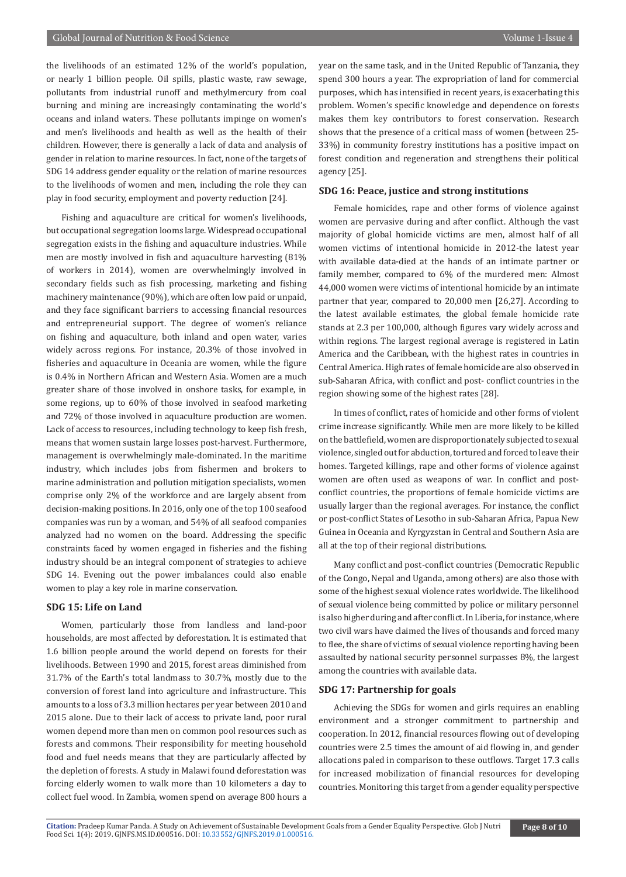the livelihoods of an estimated 12% of the world's population, or nearly 1 billion people. Oil spills, plastic waste, raw sewage, pollutants from industrial runoff and methylmercury from coal burning and mining are increasingly contaminating the world's oceans and inland waters. These pollutants impinge on women's and men's livelihoods and health as well as the health of their children. However, there is generally a lack of data and analysis of gender in relation to marine resources. In fact, none of the targets of SDG 14 address gender equality or the relation of marine resources to the livelihoods of women and men, including the role they can play in food security, employment and poverty reduction [24].

Fishing and aquaculture are critical for women's livelihoods, but occupational segregation looms large. Widespread occupational segregation exists in the fishing and aquaculture industries. While men are mostly involved in fish and aquaculture harvesting (81% of workers in 2014), women are overwhelmingly involved in secondary fields such as fish processing, marketing and fishing machinery maintenance (90%), which are often low paid or unpaid, and they face significant barriers to accessing financial resources and entrepreneurial support. The degree of women's reliance on fishing and aquaculture, both inland and open water, varies widely across regions. For instance, 20.3% of those involved in fisheries and aquaculture in Oceania are women, while the figure is 0.4% in Northern African and Western Asia. Women are a much greater share of those involved in onshore tasks, for example, in some regions, up to 60% of those involved in seafood marketing and 72% of those involved in aquaculture production are women. Lack of access to resources, including technology to keep fish fresh, means that women sustain large losses post-harvest. Furthermore, management is overwhelmingly male-dominated. In the maritime industry, which includes jobs from fishermen and brokers to marine administration and pollution mitigation specialists, women comprise only 2% of the workforce and are largely absent from decision-making positions. In 2016, only one of the top 100 seafood companies was run by a woman, and 54% of all seafood companies analyzed had no women on the board. Addressing the specific constraints faced by women engaged in fisheries and the fishing industry should be an integral component of strategies to achieve SDG 14. Evening out the power imbalances could also enable women to play a key role in marine conservation.

#### **SDG 15: Life on Land**

Women, particularly those from landless and land-poor households, are most affected by deforestation. It is estimated that 1.6 billion people around the world depend on forests for their livelihoods. Between 1990 and 2015, forest areas diminished from 31.7% of the Earth's total landmass to 30.7%, mostly due to the conversion of forest land into agriculture and infrastructure. This amounts to a loss of 3.3 million hectares per year between 2010 and 2015 alone. Due to their lack of access to private land, poor rural women depend more than men on common pool resources such as forests and commons. Their responsibility for meeting household food and fuel needs means that they are particularly affected by the depletion of forests. A study in Malawi found deforestation was forcing elderly women to walk more than 10 kilometers a day to collect fuel wood. In Zambia, women spend on average 800 hours a

year on the same task, and in the United Republic of Tanzania, they spend 300 hours a year. The expropriation of land for commercial purposes, which has intensified in recent years, is exacerbating this problem. Women's specific knowledge and dependence on forests makes them key contributors to forest conservation. Research shows that the presence of a critical mass of women (between 25- 33%) in community forestry institutions has a positive impact on forest condition and regeneration and strengthens their political agency [25].

#### **SDG 16: Peace, justice and strong institutions**

Female homicides, rape and other forms of violence against women are pervasive during and after conflict. Although the vast majority of global homicide victims are men, almost half of all women victims of intentional homicide in 2012-the latest year with available data-died at the hands of an intimate partner or family member, compared to 6% of the murdered men: Almost 44,000 women were victims of intentional homicide by an intimate partner that year, compared to 20,000 men [26,27]. According to the latest available estimates, the global female homicide rate stands at 2.3 per 100,000, although figures vary widely across and within regions. The largest regional average is registered in Latin America and the Caribbean, with the highest rates in countries in Central America. High rates of female homicide are also observed in sub-Saharan Africa, with conflict and post- conflict countries in the region showing some of the highest rates [28].

In times of conflict, rates of homicide and other forms of violent crime increase significantly. While men are more likely to be killed on the battlefield, women are disproportionately subjected to sexual violence, singled out for abduction, tortured and forced to leave their homes. Targeted killings, rape and other forms of violence against women are often used as weapons of war. In conflict and postconflict countries, the proportions of female homicide victims are usually larger than the regional averages. For instance, the conflict or post-conflict States of Lesotho in sub-Saharan Africa, Papua New Guinea in Oceania and Kyrgyzstan in Central and Southern Asia are all at the top of their regional distributions.

Many conflict and post-conflict countries (Democratic Republic of the Congo, Nepal and Uganda, among others) are also those with some of the highest sexual violence rates worldwide. The likelihood of sexual violence being committed by police or military personnel is also higher during and after conflict. In Liberia, for instance, where two civil wars have claimed the lives of thousands and forced many to flee, the share of victims of sexual violence reporting having been assaulted by national security personnel surpasses 8%, the largest among the countries with available data.

#### **SDG 17: Partnership for goals**

Achieving the SDGs for women and girls requires an enabling environment and a stronger commitment to partnership and cooperation. In 2012, financial resources flowing out of developing countries were 2.5 times the amount of aid flowing in, and gender allocations paled in comparison to these outflows. Target 17.3 calls for increased mobilization of financial resources for developing countries. Monitoring this target from a gender equality perspective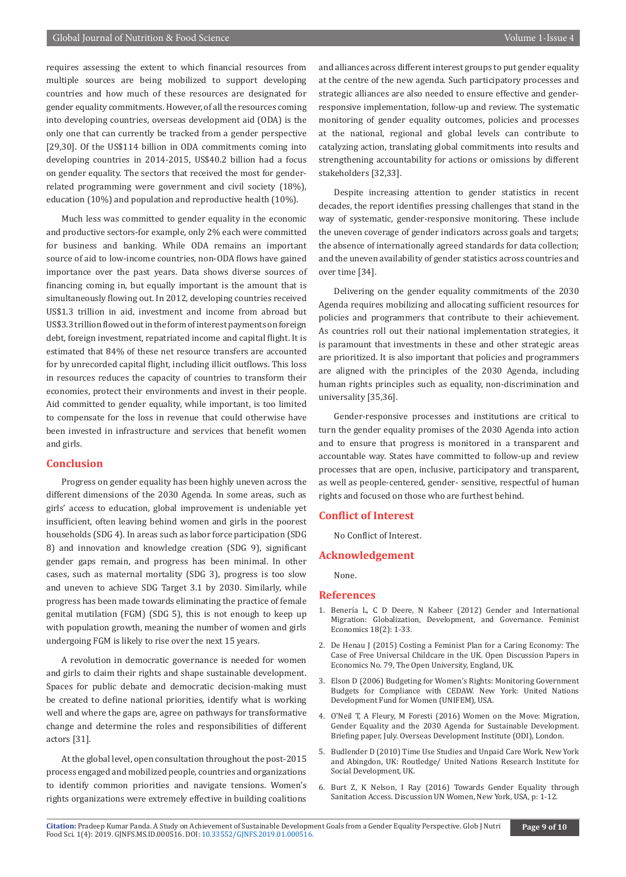requires assessing the extent to which financial resources from multiple sources are being mobilized to support developing countries and how much of these resources are designated for gender equality commitments. However, of all the resources coming into developing countries, overseas development aid (ODA) is the only one that can currently be tracked from a gender perspective [29,30]. Of the US\$114 billion in ODA commitments coming into developing countries in 2014-2015, US\$40.2 billion had a focus on gender equality. The sectors that received the most for genderrelated programming were government and civil society (18%), education (10%) and population and reproductive health (10%).

Much less was committed to gender equality in the economic and productive sectors-for example, only 2% each were committed for business and banking. While ODA remains an important source of aid to low-income countries, non-ODA flows have gained importance over the past years. Data shows diverse sources of financing coming in, but equally important is the amount that is simultaneously flowing out. In 2012, developing countries received US\$1.3 trillion in aid, investment and income from abroad but US\$3.3 trillion flowed out in the form of interest payments on foreign debt, foreign investment, repatriated income and capital flight. It is estimated that 84% of these net resource transfers are accounted for by unrecorded capital flight, including illicit outflows. This loss in resources reduces the capacity of countries to transform their economies, protect their environments and invest in their people. Aid committed to gender equality, while important, is too limited to compensate for the loss in revenue that could otherwise have been invested in infrastructure and services that benefit women and girls.

#### **Conclusion**

Progress on gender equality has been highly uneven across the different dimensions of the 2030 Agenda. In some areas, such as girls' access to education, global improvement is undeniable yet insufficient, often leaving behind women and girls in the poorest households (SDG 4). In areas such as labor force participation (SDG 8) and innovation and knowledge creation (SDG 9), significant gender gaps remain, and progress has been minimal. In other cases, such as maternal mortality (SDG 3), progress is too slow and uneven to achieve SDG Target 3.1 by 2030. Similarly, while progress has been made towards eliminating the practice of female genital mutilation (FGM) (SDG 5), this is not enough to keep up with population growth, meaning the number of women and girls undergoing FGM is likely to rise over the next 15 years.

A revolution in democratic governance is needed for women and girls to claim their rights and shape sustainable development. Spaces for public debate and democratic decision-making must be created to define national priorities, identify what is working well and where the gaps are, agree on pathways for transformative change and determine the roles and responsibilities of different actors [31].

At the global level, open consultation throughout the post-2015 process engaged and mobilized people, countries and organizations to identify common priorities and navigate tensions. Women's rights organizations were extremely effective in building coalitions and alliances across different interest groups to put gender equality at the centre of the new agenda. Such participatory processes and strategic alliances are also needed to ensure effective and genderresponsive implementation, follow-up and review. The systematic monitoring of gender equality outcomes, policies and processes at the national, regional and global levels can contribute to catalyzing action, translating global commitments into results and strengthening accountability for actions or omissions by different stakeholders [32,33].

Despite increasing attention to gender statistics in recent decades, the report identifies pressing challenges that stand in the way of systematic, gender-responsive monitoring. These include the uneven coverage of gender indicators across goals and targets; the absence of internationally agreed standards for data collection; and the uneven availability of gender statistics across countries and over time [34].

Delivering on the gender equality commitments of the 2030 Agenda requires mobilizing and allocating sufficient resources for policies and programmers that contribute to their achievement. As countries roll out their national implementation strategies, it is paramount that investments in these and other strategic areas are prioritized. It is also important that policies and programmers are aligned with the principles of the 2030 Agenda, including human rights principles such as equality, non-discrimination and universality [35,36].

Gender-responsive processes and institutions are critical to turn the gender equality promises of the 2030 Agenda into action and to ensure that progress is monitored in a transparent and accountable way. States have committed to follow-up and review processes that are open, inclusive, participatory and transparent, as well as people-centered, gender- sensitive, respectful of human rights and focused on those who are furthest behind.

#### **Conflict of Interest**

No Conflict of Interest.

#### **Acknowledgement**

None.

#### **References**

- 1. Benería L, C D Deere, N Kabeer (2012) Gender and International Migration: Globalization, Development, and Governance. Feminist Economics 18(2): 1-33.
- 2. De Henau J (2015) Costing a Feminist Plan for a Caring Economy: The Case of Free Universal Childcare in the UK. Open Discussion Papers in Economics No. 79, The Open University, England, UK.
- 3. Elson D (2006) Budgeting for Women's Rights: Monitoring Government Budgets for Compliance with CEDAW. New York: United Nations Development Fund for Women (UNIFEM), USA.
- 4. O'Neil T, A Fleury, M Foresti (2016) Women on the Move: Migration, Gender Equality and the 2030 Agenda for Sustainable Development. Briefing paper, July. Overseas Development Institute (ODI), London.
- 5. Budlender D (2010) Time Use Studies and Unpaid Care Work. New York and Abingdon, UK: Routledge/ United Nations Research Institute for Social Development, UK.
- 6. Burt Z, K Nelson, I Ray (2016) Towards Gender Equality through Sanitation Access. Discussion UN Women, New York, USA, p: 1-12.